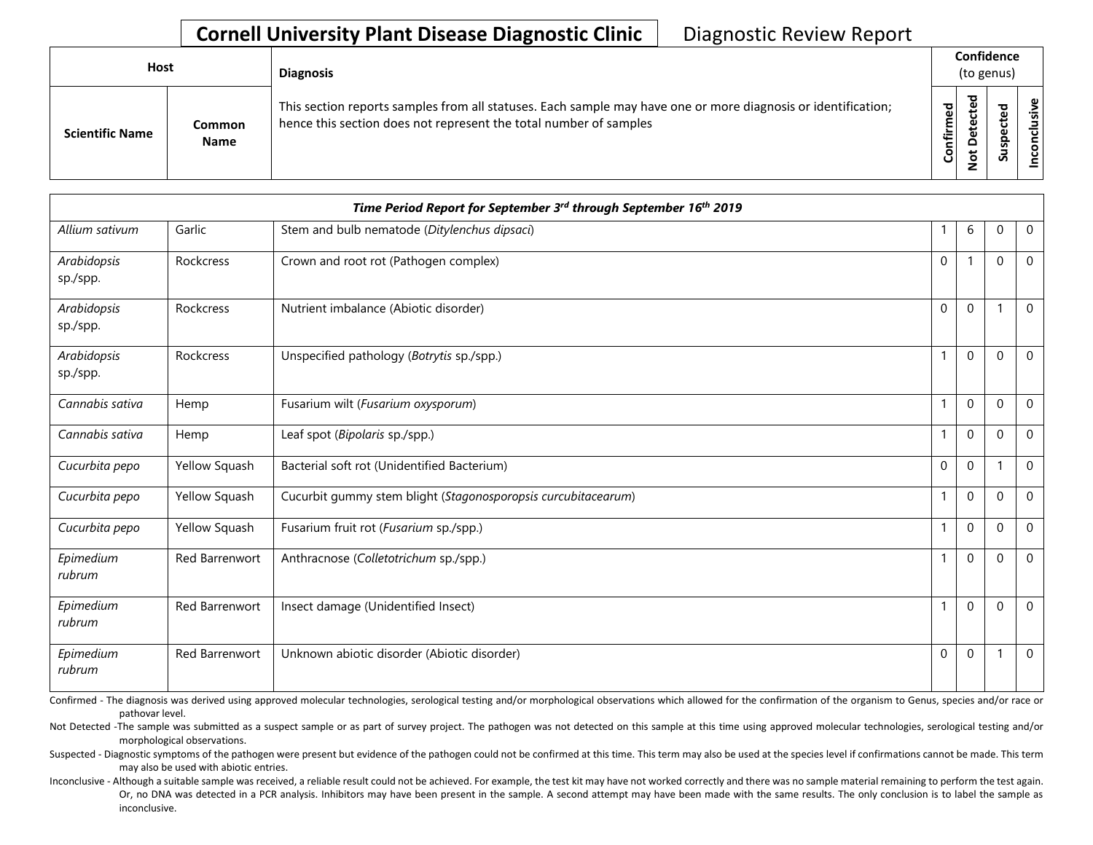| <b>Host</b>            |                              | <b>Diagnosis</b>                                                                                                                                                                   | Confidence<br>(to genus) |   |  |           |  |  |  |
|------------------------|------------------------------|------------------------------------------------------------------------------------------------------------------------------------------------------------------------------------|--------------------------|---|--|-----------|--|--|--|
| <b>Scientific Name</b> | <b>Common</b><br><b>Name</b> | This section reports samples from all statuses. Each sample may have one or more diagnosis or identification;<br>hence this section does not represent the total number of samples | ᅙ<br>튐<br>ပြ             | ъ |  | sive<br>g |  |  |  |

|                         |                       | Time Period Report for September 3rd through September 16th 2019 |              |              |                          |                |
|-------------------------|-----------------------|------------------------------------------------------------------|--------------|--------------|--------------------------|----------------|
| Allium sativum          | Garlic                | Stem and bulb nematode (Ditylenchus dipsaci)                     | 1            | 6            | $\mathbf{0}$             | $\mathbf 0$    |
| Arabidopsis<br>sp./spp. | Rockcress             | Crown and root rot (Pathogen complex)                            | $\mathbf 0$  |              | $\mathbf{0}$             | $\mathbf 0$    |
| Arabidopsis<br>sp./spp. | Rockcress             | Nutrient imbalance (Abiotic disorder)                            | $\mathbf{0}$ | $\mathbf{0}$ |                          | $\overline{0}$ |
| Arabidopsis<br>sp./spp. | Rockcress             | Unspecified pathology (Botrytis sp./spp.)                        | $\mathbf{1}$ | $\mathbf 0$  | $\Omega$                 | $\mathbf 0$    |
| Cannabis sativa         | Hemp                  | Fusarium wilt (Fusarium oxysporum)                               | $\mathbf{1}$ | $\mathbf{0}$ | $\mathbf{0}$             | $\mathbf 0$    |
| Cannabis sativa         | Hemp                  | Leaf spot (Bipolaris sp./spp.)                                   | $\mathbf{1}$ | $\mathbf{0}$ | $\Omega$                 | $\Omega$       |
| Cucurbita pepo          | Yellow Squash         | Bacterial soft rot (Unidentified Bacterium)                      | $\mathbf{0}$ | $\mathbf{0}$ | $\overline{\phantom{a}}$ | $\Omega$       |
| Cucurbita pepo          | Yellow Squash         | Cucurbit gummy stem blight (Stagonosporopsis curcubitacearum)    | $\mathbf{1}$ | $\mathbf 0$  | $\mathbf{0}$             | $\mathbf 0$    |
| Cucurbita pepo          | Yellow Squash         | Fusarium fruit rot (Fusarium sp./spp.)                           | $\mathbf{1}$ | $\mathbf{0}$ | $\mathbf{0}$             | $\mathbf 0$    |
| Epimedium<br>rubrum     | Red Barrenwort        | Anthracnose (Colletotrichum sp./spp.)                            | $\mathbf{1}$ | $\mathbf{0}$ | $\Omega$                 | $\Omega$       |
| Epimedium<br>rubrum     | <b>Red Barrenwort</b> | Insect damage (Unidentified Insect)                              | $\mathbf{1}$ | $\mathbf{0}$ | $\Omega$                 | $\overline{0}$ |
| Epimedium<br>rubrum     | Red Barrenwort        | Unknown abiotic disorder (Abiotic disorder)                      | $\mathbf 0$  | $\mathbf 0$  | $\overline{\phantom{0}}$ | $\mathbf 0$    |

Confirmed - The diagnosis was derived using approved molecular technologies, serological testing and/or morphological observations which allowed for the confirmation of the organism to Genus, species and/or race or pathovar level.

Not Detected -The sample was submitted as a suspect sample or as part of survey project. The pathogen was not detected on this sample at this time using approved molecular technologies, serological testing and/or morphological observations.

Suspected - Diagnostic symptoms of the pathogen were present but evidence of the pathogen could not be confirmed at this time. This term may also be used at the species level if confirmations cannot be made. This term may also be used with abiotic entries.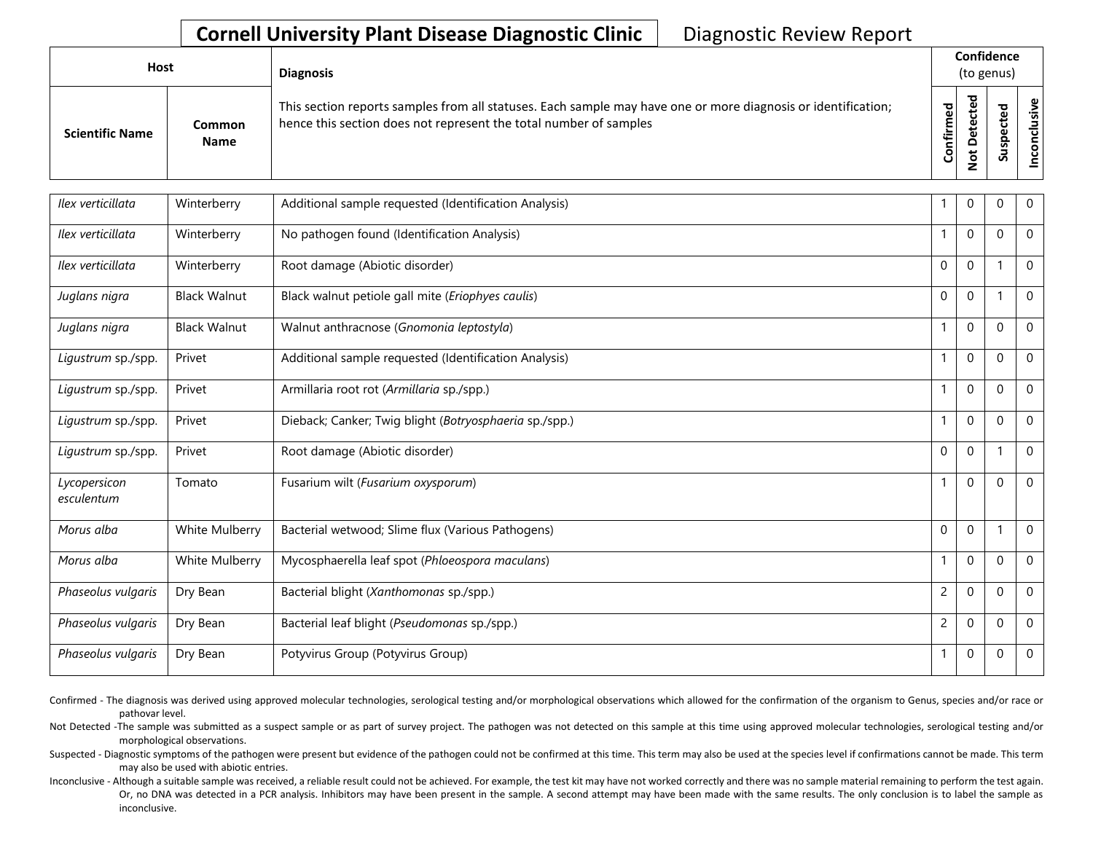| <b>Host</b>            |                       | <b>Diagnosis</b>                                                                                                                                                                   | Confidence<br>(to genus) |        |                            |                        |
|------------------------|-----------------------|------------------------------------------------------------------------------------------------------------------------------------------------------------------------------------|--------------------------|--------|----------------------------|------------------------|
| <b>Scientific Name</b> | Common<br><b>Name</b> | This section reports samples from all statuses. Each sample may have one or more diagnosis or identification;<br>hence this section does not represent the total number of samples | ಕ<br>nfirm<br>ပြ         | ᇃ<br>≏ | ω<br>ω<br>௨<br>S<br>э<br>S | $\frac{1}{2}$<br><br>۰ |

| Ilex verticillata          | Winterberry         | Additional sample requested (Identification Analysis)  |                | $\mathbf 0$  | $\Omega$    | 0            |
|----------------------------|---------------------|--------------------------------------------------------|----------------|--------------|-------------|--------------|
| Ilex verticillata          | Winterberry         | No pathogen found (Identification Analysis)            | $\mathbf{1}$   | $\mathbf{0}$ | $\Omega$    | $\Omega$     |
| Ilex verticillata          | Winterberry         | Root damage (Abiotic disorder)                         | $\Omega$       | $\mathbf{0}$ |             | $\mathbf{0}$ |
| Juglans nigra              | <b>Black Walnut</b> | Black walnut petiole gall mite (Eriophyes caulis)      | $\Omega$       | $\mathbf{0}$ |             | $\mathbf 0$  |
| Juglans nigra              | <b>Black Walnut</b> | Walnut anthracnose (Gnomonia leptostyla)               | $\mathbf{1}$   | $\mathbf{0}$ | $\Omega$    | $\mathbf{0}$ |
| Ligustrum sp./spp.         | Privet              | Additional sample requested (Identification Analysis)  | 1              | $\mathbf{0}$ | $\Omega$    | $\Omega$     |
| Ligustrum sp./spp.         | Privet              | Armillaria root rot (Armillaria sp./spp.)              | $\mathbf{1}$   | $\mathbf{0}$ | $\Omega$    | $\mathbf{0}$ |
| Ligustrum sp./spp.         | Privet              | Dieback; Canker; Twig blight (Botryosphaeria sp./spp.) | $\mathbf{1}$   | $\mathbf 0$  | $\Omega$    | $\mathbf 0$  |
| Ligustrum sp./spp.         | Privet              | Root damage (Abiotic disorder)                         | $\Omega$       | $\mathbf{0}$ |             | $\mathbf{0}$ |
| Lycopersicon<br>esculentum | Tomato              | Fusarium wilt (Fusarium oxysporum)                     | $\mathbf{1}$   | $\mathbf{0}$ | $\Omega$    | $\mathbf{0}$ |
| Morus alba                 | White Mulberry      | Bacterial wetwood; Slime flux (Various Pathogens)      | $\Omega$       | $\Omega$     |             | $\Omega$     |
| Morus alba                 | White Mulberry      | Mycosphaerella leaf spot (Phloeospora maculans)        | $\mathbf{1}$   | $\mathbf{0}$ | $\Omega$    | $\Omega$     |
| Phaseolus vulgaris         | Dry Bean            | Bacterial blight (Xanthomonas sp./spp.)                | $\overline{c}$ | $\mathbf{0}$ | $\Omega$    | 0            |
| Phaseolus vulgaris         | Dry Bean            | Bacterial leaf blight (Pseudomonas sp./spp.)           | $\overline{2}$ | $\mathbf{0}$ | $\Omega$    | $\mathbf{0}$ |
| Phaseolus vulgaris         | Dry Bean            | Potyvirus Group (Potyvirus Group)                      | $\mathbf{1}$   | $\mathbf 0$  | $\mathbf 0$ | $\mathbf 0$  |

Confirmed - The diagnosis was derived using approved molecular technologies, serological testing and/or morphological observations which allowed for the confirmation of the organism to Genus, species and/or race or pathovar level.

Not Detected -The sample was submitted as a suspect sample or as part of survey project. The pathogen was not detected on this sample at this time using approved molecular technologies, serological testing and/or morphological observations.

Suspected - Diagnostic symptoms of the pathogen were present but evidence of the pathogen could not be confirmed at this time. This term may also be used at the species level if confirmations cannot be made. This term may also be used with abiotic entries.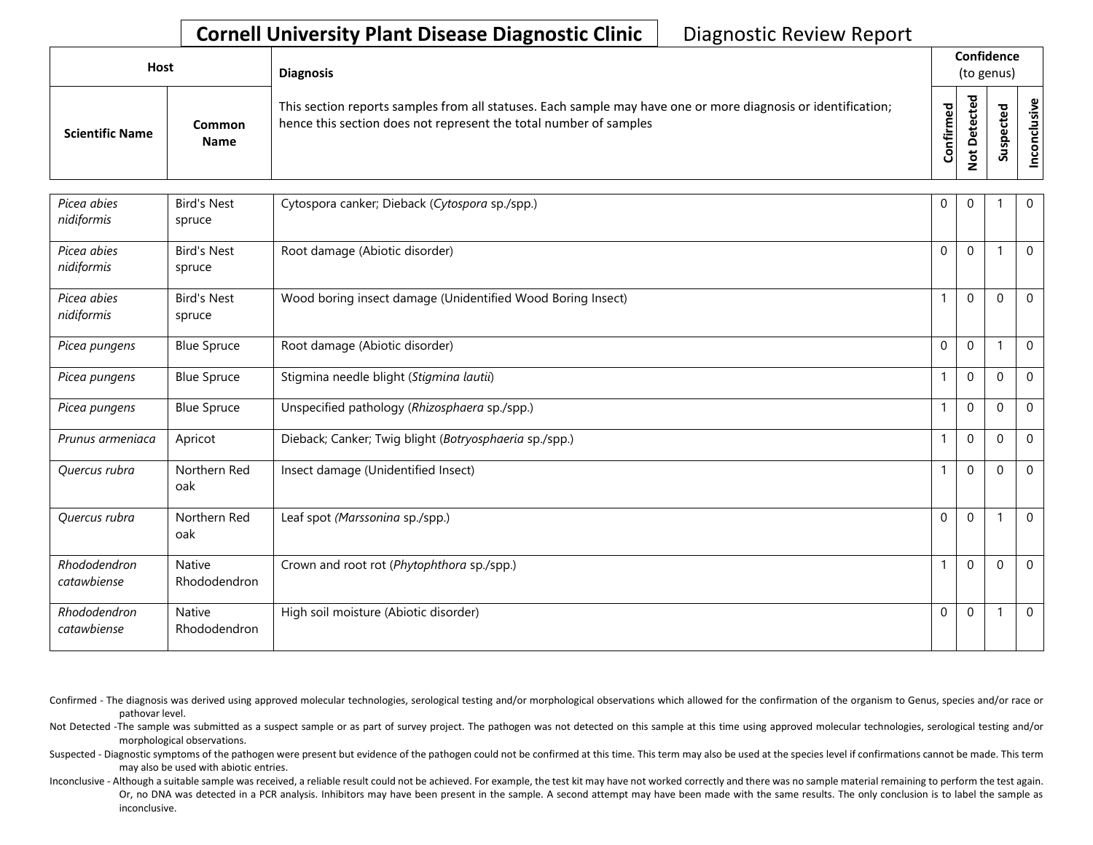| <b>Host</b>            |                       | <b>Diagnosis</b>                                                                                                                                                                   | Confidence<br>(to genus) |                                   |   |                      |
|------------------------|-----------------------|------------------------------------------------------------------------------------------------------------------------------------------------------------------------------------|--------------------------|-----------------------------------|---|----------------------|
| <b>Scientific Name</b> | Common<br><b>Name</b> | This section reports samples from all statuses. Each sample may have one or more diagnosis or identification;<br>hence this section does not represent the total number of samples | Confirmed                | ᇃ<br>ω<br>e<br>Q<br>سه<br>$\circ$ | n | ω<br><u>.응</u><br>᠊ᠣ |

| Picea abies<br>nidiformis   | <b>Bird's Nest</b><br>spruce | Cytospora canker; Dieback (Cytospora sp./spp.)              | $\Omega$     | $\mathbf{0}$ |             | $\mathbf{0}$ |
|-----------------------------|------------------------------|-------------------------------------------------------------|--------------|--------------|-------------|--------------|
| Picea abies<br>nidiformis   | <b>Bird's Nest</b><br>spruce | Root damage (Abiotic disorder)                              | $\Omega$     | $\mathbf{0}$ |             | $\Omega$     |
| Picea abies<br>nidiformis   | <b>Bird's Nest</b><br>spruce | Wood boring insect damage (Unidentified Wood Boring Insect) |              | $\Omega$     | $\Omega$    | $\mathbf 0$  |
| Picea pungens               | <b>Blue Spruce</b>           | Root damage (Abiotic disorder)                              | $\Omega$     | $\mathbf 0$  |             | $\mathbf 0$  |
| Picea pungens               | <b>Blue Spruce</b>           | Stigmina needle blight (Stigmina lautii)                    |              | $\Omega$     | $\Omega$    | $\mathbf{0}$ |
| Picea pungens               | <b>Blue Spruce</b>           | Unspecified pathology (Rhizosphaera sp./spp.)               |              | $\mathbf 0$  | $\Omega$    | $\mathbf 0$  |
| Prunus armeniaca            | Apricot                      | Dieback; Canker; Twig blight (Botryosphaeria sp./spp.)      | $\mathbf{1}$ | $\Omega$     | $\Omega$    | $\mathbf{0}$ |
| Quercus rubra               | Northern Red<br>oak          | Insect damage (Unidentified Insect)                         |              | $\mathbf 0$  | 0           | $\mathbf 0$  |
| Quercus rubra               | Northern Red<br>oak          | Leaf spot (Marssonina sp./spp.)                             | $\Omega$     | $\Omega$     |             | $\mathbf{0}$ |
| Rhododendron<br>catawbiense | Native<br>Rhododendron       | Crown and root rot (Phytophthora sp./spp.)                  |              | $\mathbf 0$  | $\mathbf 0$ | $\mathbf 0$  |
| Rhododendron<br>catawbiense | Native<br>Rhododendron       | High soil moisture (Abiotic disorder)                       | $\Omega$     | $\Omega$     |             | $\mathbf{0}$ |

Confirmed - The diagnosis was derived using approved molecular technologies, serological testing and/or morphological observations which allowed for the confirmation of the organism to Genus, species and/or race or pathovar level.

Not Detected -The sample was submitted as a suspect sample or as part of survey project. The pathogen was not detected on this sample at this time using approved molecular technologies, serological testing and/or morphological observations.

Suspected - Diagnostic symptoms of the pathogen were present but evidence of the pathogen could not be confirmed at this time. This term may also be used at the species level if confirmations cannot be made. This term may also be used with abiotic entries.